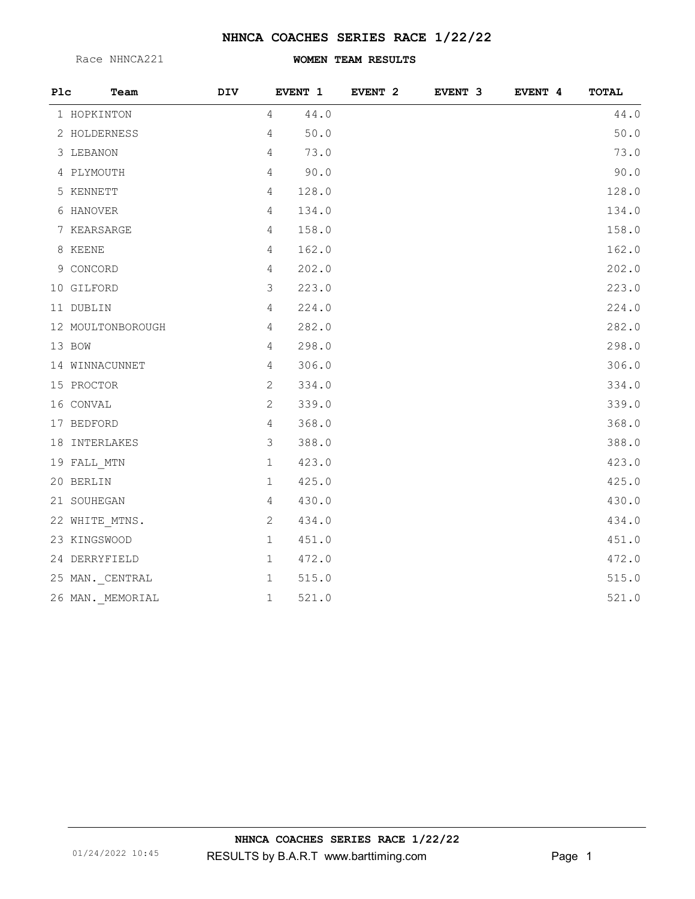## **NHNCA COACHES SERIES RACE 1/22/22**

Race NHNCA221

## **WOMEN TEAM RESULTS**

| Plc | Team              | <b>DIV</b> |                | EVENT 1 | EVENT <sub>2</sub> | EVENT 3 | EVENT 4 | <b>TOTAL</b> |
|-----|-------------------|------------|----------------|---------|--------------------|---------|---------|--------------|
|     | 1 HOPKINTON       |            | $\overline{4}$ | 44.0    |                    |         |         | 44.0         |
|     | 2 HOLDERNESS      |            | $\overline{4}$ | 50.0    |                    |         |         | 50.0         |
|     | 3 LEBANON         |            | $\overline{4}$ | 73.0    |                    |         |         | 73.0         |
|     | 4 PLYMOUTH        |            | $\overline{4}$ | 90.0    |                    |         |         | 90.0         |
|     | 5 KENNETT         |            | $\overline{4}$ | 128.0   |                    |         |         | 128.0        |
|     | 6 HANOVER         |            | $\overline{4}$ | 134.0   |                    |         |         | 134.0        |
|     | 7 KEARSARGE       |            | $\overline{4}$ | 158.0   |                    |         |         | 158.0        |
|     | 8 KEENE           |            | $\overline{4}$ | 162.0   |                    |         |         | 162.0        |
|     | 9 CONCORD         |            | $\overline{4}$ | 202.0   |                    |         |         | 202.0        |
|     | 10 GILFORD        |            | $\mathcal{S}$  | 223.0   |                    |         |         | 223.0        |
|     | 11 DUBLIN         |            | $\overline{4}$ | 224.0   |                    |         |         | 224.0        |
|     | 12 MOULTONBOROUGH |            | $\overline{4}$ | 282.0   |                    |         |         | 282.0        |
|     | 13 BOW            |            | $\overline{4}$ | 298.0   |                    |         |         | 298.0        |
|     | 14 WINNACUNNET    |            | $\overline{4}$ | 306.0   |                    |         |         | 306.0        |
|     | 15 PROCTOR        |            | $\mathbf{2}$   | 334.0   |                    |         |         | 334.0        |
|     | 16 CONVAL         |            | $\mathbf{2}$   | 339.0   |                    |         |         | 339.0        |
|     | 17 BEDFORD        |            | $\overline{4}$ | 368.0   |                    |         |         | 368.0        |
|     | 18 INTERLAKES     |            | $\mathcal{S}$  | 388.0   |                    |         |         | 388.0        |
|     | 19 FALL MTN       |            | $1\,$          | 423.0   |                    |         |         | 423.0        |
|     | 20 BERLIN         |            | $\mathbf{1}$   | 425.0   |                    |         |         | 425.0        |
|     | 21 SOUHEGAN       |            | $\overline{4}$ | 430.0   |                    |         |         | 430.0        |
|     | 22 WHITE_MTNS.    |            | $\sqrt{2}$     | 434.0   |                    |         |         | 434.0        |
|     | 23 KINGSWOOD      |            | $\mathbf{1}$   | 451.0   |                    |         |         | 451.0        |
|     | 24 DERRYFIELD     |            | $\mathbf 1$    | 472.0   |                    |         |         | 472.0        |
|     | 25 MAN. CENTRAL   |            | $\mathbf{1}$   | 515.0   |                    |         |         | 515.0        |
|     | 26 MAN._MEMORIAL  |            | $\mathbf{1}$   | 521.0   |                    |         |         | 521.0        |